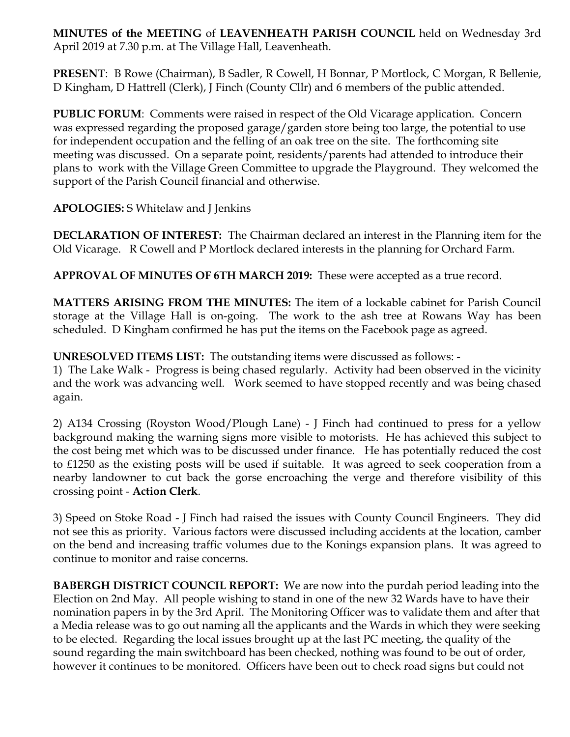**MINUTES of the MEETING** of **LEAVENHEATH PARISH COUNCIL** held on Wednesday 3rd April 2019 at 7.30 p.m. at The Village Hall, Leavenheath.

**PRESENT**: B Rowe (Chairman), B Sadler, R Cowell, H Bonnar, P Mortlock, C Morgan, R Bellenie, D Kingham, D Hattrell (Clerk), J Finch (County Cllr) and 6 members of the public attended.

**PUBLIC FORUM:** Comments were raised in respect of the Old Vicarage application. Concern was expressed regarding the proposed garage/garden store being too large, the potential to use for independent occupation and the felling of an oak tree on the site. The forthcoming site meeting was discussed. On a separate point, residents/parents had attended to introduce their plans to work with the Village Green Committee to upgrade the Playground. They welcomed the support of the Parish Council financial and otherwise.

**APOLOGIES:** S Whitelaw and J Jenkins

**DECLARATION OF INTEREST:** The Chairman declared an interest in the Planning item for the Old Vicarage. R Cowell and P Mortlock declared interests in the planning for Orchard Farm.

**APPROVAL OF MINUTES OF 6TH MARCH 2019:** These were accepted as a true record.

**MATTERS ARISING FROM THE MINUTES:** The item of a lockable cabinet for Parish Council storage at the Village Hall is on-going. The work to the ash tree at Rowans Way has been scheduled. D Kingham confirmed he has put the items on the Facebook page as agreed.

**UNRESOLVED ITEMS LIST:** The outstanding items were discussed as follows: -

1) The Lake Walk - Progress is being chased regularly. Activity had been observed in the vicinity and the work was advancing well. Work seemed to have stopped recently and was being chased again.

2) A134 Crossing (Royston Wood/Plough Lane) - J Finch had continued to press for a yellow background making the warning signs more visible to motorists. He has achieved this subject to the cost being met which was to be discussed under finance. He has potentially reduced the cost to £1250 as the existing posts will be used if suitable. It was agreed to seek cooperation from a nearby landowner to cut back the gorse encroaching the verge and therefore visibility of this crossing point - **Action Clerk**.

3) Speed on Stoke Road - J Finch had raised the issues with County Council Engineers. They did not see this as priority. Various factors were discussed including accidents at the location, camber on the bend and increasing traffic volumes due to the Konings expansion plans. It was agreed to continue to monitor and raise concerns.

**BABERGH DISTRICT COUNCIL REPORT:** We are now into the purdah period leading into the Election on 2nd May. All people wishing to stand in one of the new 32 Wards have to have their nomination papers in by the 3rd April. The Monitoring Officer was to validate them and after that a Media release was to go out naming all the applicants and the Wards in which they were seeking to be elected. Regarding the local issues brought up at the last PC meeting, the quality of the sound regarding the main switchboard has been checked, nothing was found to be out of order, however it continues to be monitored. Officers have been out to check road signs but could not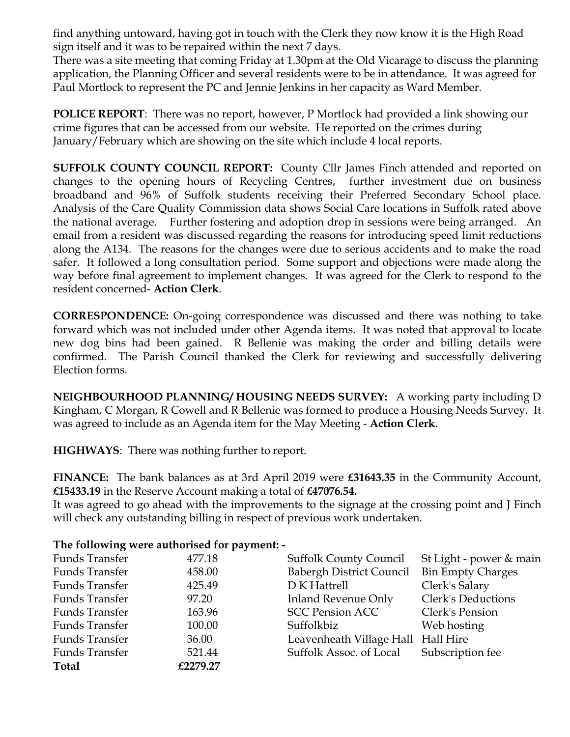find anything untoward, having got in touch with the Clerk they now know it is the High Road sign itself and it was to be repaired within the next 7 days.

There was a site meeting that coming Friday at 1.30pm at the Old Vicarage to discuss the planning application, the Planning Officer and several residents were to be in attendance. It was agreed for Paul Mortlock to represent the PC and Jennie Jenkins in her capacity as Ward Member.

**POLICE REPORT**: There was no report, however, P Mortlock had provided a link showing our crime figures that can be accessed from our website. He reported on the crimes during January/February which are showing on the site which include 4 local reports.

**SUFFOLK COUNTY COUNCIL REPORT:** County Cllr James Finch attended and reported on changes to the opening hours of Recycling Centres, further investment due on business broadband and 96% of Suffolk students receiving their Preferred Secondary School place. Analysis of the Care Quality Commission data shows Social Care locations in Suffolk rated above the national average. Further fostering and adoption drop in sessions were being arranged. An email from a resident was discussed regarding the reasons for introducing speed limit reductions along the A134. The reasons for the changes were due to serious accidents and to make the road safer. It followed a long consultation period. Some support and objections were made along the way before final agreement to implement changes. It was agreed for the Clerk to respond to the resident concerned- **Action Clerk**.

**CORRESPONDENCE:** On-going correspondence was discussed and there was nothing to take forward which was not included under other Agenda items. It was noted that approval to locate new dog bins had been gained. R Bellenie was making the order and billing details were confirmed. The Parish Council thanked the Clerk for reviewing and successfully delivering Election forms.

**NEIGHBOURHOOD PLANNING/ HOUSING NEEDS SURVEY:** A working party including D Kingham, C Morgan, R Cowell and R Bellenie was formed to produce a Housing Needs Survey. It was agreed to include as an Agenda item for the May Meeting - **Action Clerk**.

**HIGHWAYS**: There was nothing further to report.

**FINANCE:** The bank balances as at 3rd April 2019 were **£31643.35** in the Community Account, **£15433.19** in the Reserve Account making a total of **£47076.54.**

It was agreed to go ahead with the improvements to the signage at the crossing point and J Finch will check any outstanding billing in respect of previous work undertaken.

## **The following were authorised for payment: -**

| <b>Funds Transfer</b> | 477.18   | <b>Suffolk County Council</b>      | St Light - power & main  |
|-----------------------|----------|------------------------------------|--------------------------|
| <b>Funds Transfer</b> | 458.00   | <b>Babergh District Council</b>    | <b>Bin Empty Charges</b> |
| <b>Funds Transfer</b> | 425.49   | D K Hattrell                       | Clerk's Salary           |
| <b>Funds Transfer</b> | 97.20    | <b>Inland Revenue Only</b>         | Clerk's Deductions       |
| <b>Funds Transfer</b> | 163.96   | <b>SCC Pension ACC</b>             | Clerk's Pension          |
| <b>Funds Transfer</b> | 100.00   | Suffolkbiz                         | Web hosting              |
| <b>Funds Transfer</b> | 36.00    | Leavenheath Village Hall Hall Hire |                          |
| <b>Funds Transfer</b> | 521.44   | Suffolk Assoc. of Local            | Subscription fee         |
| <b>Total</b>          | £2279.27 |                                    |                          |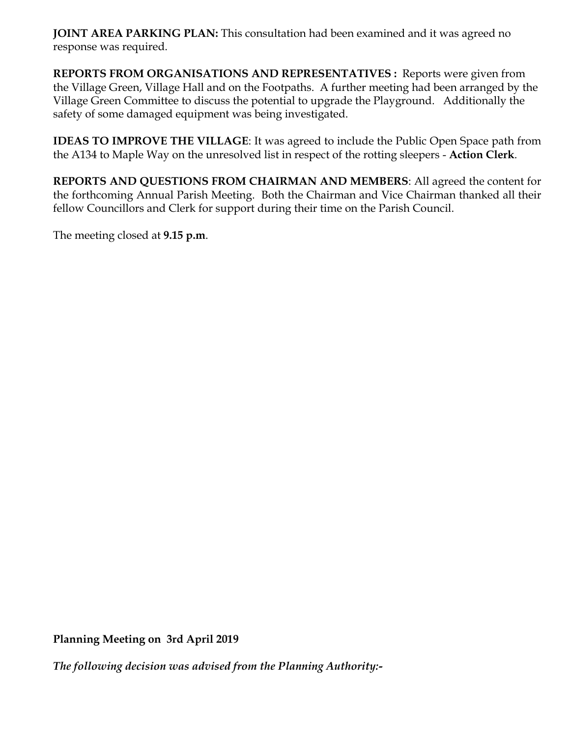**JOINT AREA PARKING PLAN:** This consultation had been examined and it was agreed no response was required.

**REPORTS FROM ORGANISATIONS AND REPRESENTATIVES :** Reports were given from the Village Green, Village Hall and on the Footpaths. A further meeting had been arranged by the Village Green Committee to discuss the potential to upgrade the Playground. Additionally the safety of some damaged equipment was being investigated.

**IDEAS TO IMPROVE THE VILLAGE**: It was agreed to include the Public Open Space path from the A134 to Maple Way on the unresolved list in respect of the rotting sleepers - **Action Clerk**.

**REPORTS AND QUESTIONS FROM CHAIRMAN AND MEMBERS**: All agreed the content for the forthcoming Annual Parish Meeting. Both the Chairman and Vice Chairman thanked all their fellow Councillors and Clerk for support during their time on the Parish Council.

The meeting closed at **9.15 p.m**.

**Planning Meeting on 3rd April 2019**

*The following decision was advised from the Planning Authority:-*